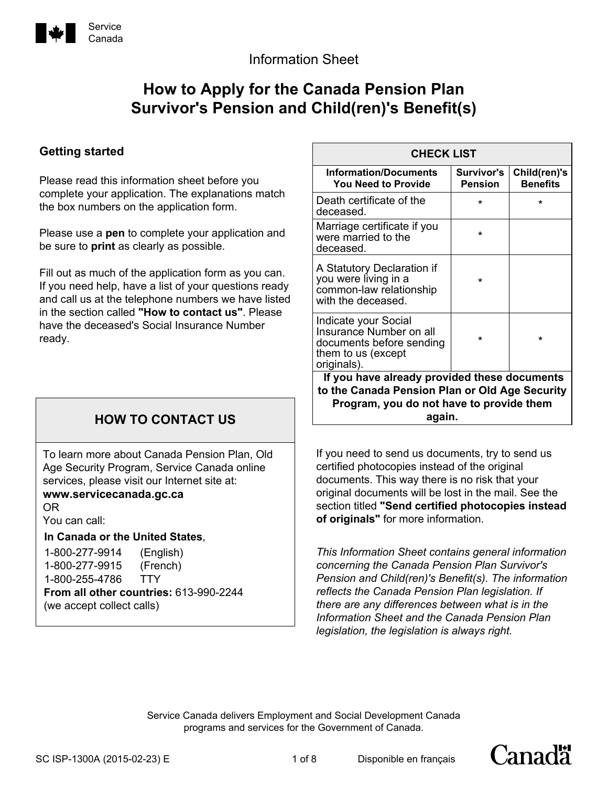

## Information Sheet

# **How to Apply for the Canada Pension Plan Survivor's Pension and Child(ren)'s Benefit(s)**

### **Getting started**

Please read this information sheet before you complete your application. The explanations match the box numbers on the application form.

Please use a **pen** to complete your application and be sure to **print** as clearly as possible.

Fill out as much of the application form as you can. If you need help, have a list of your questions ready and call us at the telephone numbers we have listed in the section called **"How to contact us"**. Please have the deceased's Social Insurance Number ready.

## **HOW TO CONTACT US**

To learn more about Canada Pension Plan, Old Age Security Program, Service Canada online services, please visit our Internet site at:

#### **www.servicecanada.gc.ca**

OR

You can call:

#### **In Canada or the United States**,

1-800-277-9914 (English) 1-800-277-9915 (French) 1-800-255-4786 TTY **From all other countries:** 613-990-2244 (we accept collect calls)

| <b>CHECK LIST</b>                                                                                                |                              |                                 |
|------------------------------------------------------------------------------------------------------------------|------------------------------|---------------------------------|
| <b>Information/Documents</b><br><b>You Need to Provide</b>                                                       | Survivor's<br><b>Pension</b> | Child(ren)'s<br><b>Benefits</b> |
| Death certificate of the<br>deceased.                                                                            | ÷                            | ÷                               |
| Marriage certificate if you<br>were married to the<br>deceased.                                                  | $\star$                      |                                 |
| A Statutory Declaration if<br>you were living in a<br>common-law relationship<br>with the deceased.              | ÷                            |                                 |
| Indicate your Social<br>Insurance Number on all<br>documents before sending<br>them to us (except<br>originals). | ÷                            | $\star$                         |
| If you have already provided these documents                                                                     |                              |                                 |
| to the Canada Pension Plan or Old Age Security                                                                   |                              |                                 |
| Program, you do not have to provide them                                                                         |                              |                                 |
| again.                                                                                                           |                              |                                 |

If you need to send us documents, try to send us certified photocopies instead of the original documents. This way there is no risk that your original documents will be lost in the mail. See the section titled **"Send certified photocopies instead of originals"** for more information.

*This Information Sheet contains general information concerning the Canada Pension Plan Survivor's Pension and Child(ren)'s Benefit(s). The information reflects the Canada Pension Plan legislation. If there are any differences between what is in the Information Sheet and the Canada Pension Plan legislation, the legislation is always right.*

Disponible en français

Service Canada delivers Employment and Social Development Canada programs and services for the Government of Canada.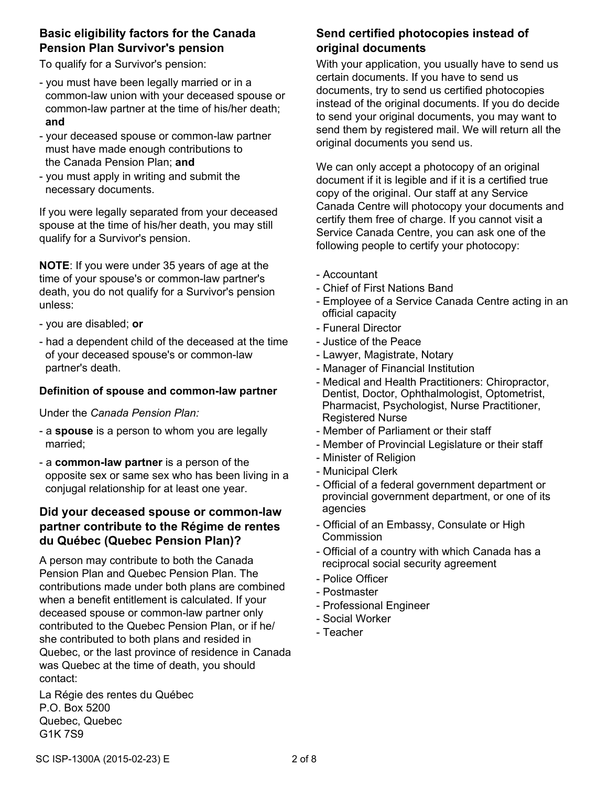### **Basic eligibility factors for the Canada Pension Plan Survivor's pension**

To qualify for a Survivor's pension:

- you must have been legally married or in a common-law union with your deceased spouse or common-law partner at the time of his/her death; **and**
- your deceased spouse or common-law partner must have made enough contributions to the Canada Pension Plan; **and**
- you must apply in writing and submit the necessary documents.

If you were legally separated from your deceased spouse at the time of his/her death, you may still qualify for a Survivor's pension.

**NOTE**: If you were under 35 years of age at the time of your spouse's or common-law partner's death, you do not qualify for a Survivor's pension unless:

- you are disabled; **or**
- had a dependent child of the deceased at the time of your deceased spouse's or common-law partner's death.

#### **Definition of spouse and common-law partner**

Under the *Canada Pension Plan:*

- a **spouse** is a person to whom you are legally married;
- a **common-law partner** is a person of the opposite sex or same sex who has been living in a conjugal relationship for at least one year.

### **Did your deceased spouse or common-law partner contribute to the Régime de rentes du Québec (Quebec Pension Plan)?**

A person may contribute to both the Canada Pension Plan and Quebec Pension Plan. The contributions made under both plans are combined when a benefit entitlement is calculated. If your deceased spouse or common-law partner only contributed to the Quebec Pension Plan, or if he/ she contributed to both plans and resided in Quebec, or the last province of residence in Canada was Quebec at the time of death, you should contact:

La Régie des rentes du Québec P.O. Box 5200 Quebec, Quebec G1K 7S9

### **Send certified photocopies instead of original documents**

With your application, you usually have to send us certain documents. If you have to send us documents, try to send us certified photocopies instead of the original documents. If you do decide to send your original documents, you may want to send them by registered mail. We will return all the original documents you send us.

We can only accept a photocopy of an original document if it is legible and if it is a certified true copy of the original. Our staff at any Service Canada Centre will photocopy your documents and certify them free of charge. If you cannot visit a Service Canada Centre, you can ask one of the following people to certify your photocopy:

- Accountant
- Chief of First Nations Band
- Employee of a Service Canada Centre acting in an official capacity
- Funeral Director
- Justice of the Peace
- Lawyer, Magistrate, Notary
- Manager of Financial Institution
- Medical and Health Practitioners: Chiropractor, Dentist, Doctor, Ophthalmologist, Optometrist, Pharmacist, Psychologist, Nurse Practitioner, Registered Nurse
- Member of Parliament or their staff
- Member of Provincial Legislature or their staff
- Minister of Religion
- Municipal Clerk
- Official of a federal government department or provincial government department, or one of its agencies
- Official of an Embassy, Consulate or High Commission
- Official of a country with which Canada has a reciprocal social security agreement
- Police Officer
- Postmaster
- Professional Engineer
- Social Worker
- Teacher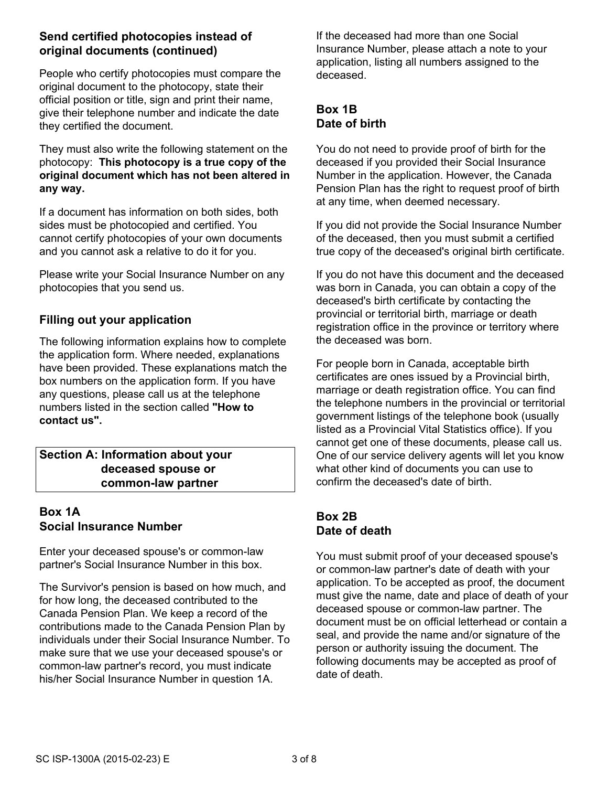#### **Send certified photocopies instead of original documents (continued)**

People who certify photocopies must compare the original document to the photocopy, state their official position or title, sign and print their name, give their telephone number and indicate the date they certified the document.

They must also write the following statement on the photocopy: **This photocopy is a true copy of the original document which has not been altered in any way.**

If a document has information on both sides, both sides must be photocopied and certified. You cannot certify photocopies of your own documents and you cannot ask a relative to do it for you.

Please write your Social Insurance Number on any photocopies that you send us.

#### **Filling out your application**

The following information explains how to complete the application form. Where needed, explanations have been provided. These explanations match the box numbers on the application form. If you have any questions, please call us at the telephone numbers listed in the section called **"How to contact us".**

#### **Section A: Information about your deceased spouse or common-law partner**

## **Box 1A Social Insurance Number**

Enter your deceased spouse's or common-law partner's Social Insurance Number in this box.

The Survivor's pension is based on how much, and for how long, the deceased contributed to the Canada Pension Plan. We keep a record of the contributions made to the Canada Pension Plan by individuals under their Social Insurance Number. To make sure that we use your deceased spouse's or common-law partner's record, you must indicate his/her Social Insurance Number in question 1A.

If the deceased had more than one Social Insurance Number, please attach a note to your application, listing all numbers assigned to the deceased.

## **Box 1B Date of birth**

You do not need to provide proof of birth for the deceased if you provided their Social Insurance Number in the application. However, the Canada Pension Plan has the right to request proof of birth at any time, when deemed necessary.

If you did not provide the Social Insurance Number of the deceased, then you must submit a certified true copy of the deceased's original birth certificate.

If you do not have this document and the deceased was born in Canada, you can obtain a copy of the deceased's birth certificate by contacting the provincial or territorial birth, marriage or death registration office in the province or territory where the deceased was born.

For people born in Canada, acceptable birth certificates are ones issued by a Provincial birth, marriage or death registration office. You can find the telephone numbers in the provincial or territorial government listings of the telephone book (usually listed as a Provincial Vital Statistics office). If you cannot get one of these documents, please call us. One of our service delivery agents will let you know what other kind of documents you can use to confirm the deceased's date of birth.

### **Box 2B Date of death**

You must submit proof of your deceased spouse's or common-law partner's date of death with your application. To be accepted as proof, the document must give the name, date and place of death of your deceased spouse or common-law partner. The document must be on official letterhead or contain a seal, and provide the name and/or signature of the person or authority issuing the document. The following documents may be accepted as proof of date of death.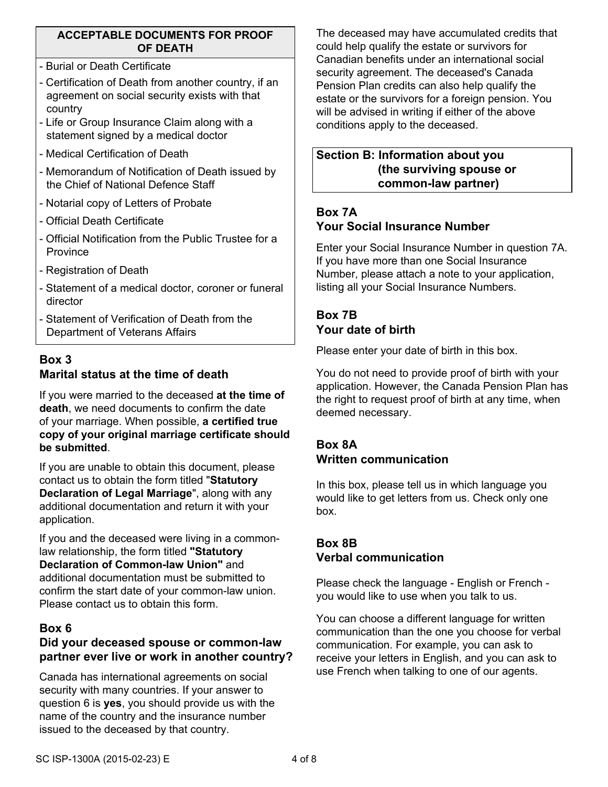#### **ACCEPTABLE DOCUMENTS FOR PROOF OF DEATH**

- Burial or Death Certificate
- Certification of Death from another country, if an agreement on social security exists with that country
- Life or Group Insurance Claim along with a statement signed by a medical doctor
- Medical Certification of Death
- Memorandum of Notification of Death issued by the Chief of National Defence Staff
- Notarial copy of Letters of Probate
- Official Death Certificate
- Official Notification from the Public Trustee for a **Province**
- Registration of Death
- Statement of a medical doctor, coroner or funeral director
- Statement of Verification of Death from the Department of Veterans Affairs

## **Box 3 Marital status at the time of death**

If you were married to the deceased **at the time of death**, we need documents to confirm the date of your marriage. When possible, **a certified true copy of your original marriage certificate should be submitted**.

If you are unable to obtain this document, please contact us to obtain the form titled "**Statutory Declaration of Legal Marriage**", along with any additional documentation and return it with your application.

If you and the deceased were living in a commonlaw relationship, the form titled **"Statutory Declaration of Common-law Union"** and additional documentation must be submitted to confirm the start date of your common-law union. Please contact us to obtain this form.

### **Box 6**

## **Did your deceased spouse or common-law partner ever live or work in another country?**

Canada has international agreements on social security with many countries. If your answer to question 6 is **yes**, you should provide us with the name of the country and the insurance number issued to the deceased by that country.

The deceased may have accumulated credits that could help qualify the estate or survivors for Canadian benefits under an international social security agreement. The deceased's Canada Pension Plan credits can also help qualify the estate or the survivors for a foreign pension. You will be advised in writing if either of the above conditions apply to the deceased.

#### **Section B: Information about you (the surviving spouse or common-law partner)**

## **Box 7A Your Social Insurance Number**

Enter your Social Insurance Number in question 7A. If you have more than one Social Insurance Number, please attach a note to your application, listing all your Social Insurance Numbers.

## **Box 7B Your date of birth**

Please enter your date of birth in this box.

You do not need to provide proof of birth with your application. However, the Canada Pension Plan has the right to request proof of birth at any time, when deemed necessary.

### **Box 8A Written communication**

In this box, please tell us in which language you would like to get letters from us. Check only one box.

## **Box 8B Verbal communication**

Please check the language - English or French you would like to use when you talk to us.

You can choose a different language for written communication than the one you choose for verbal communication. For example, you can ask to receive your letters in English, and you can ask to use French when talking to one of our agents.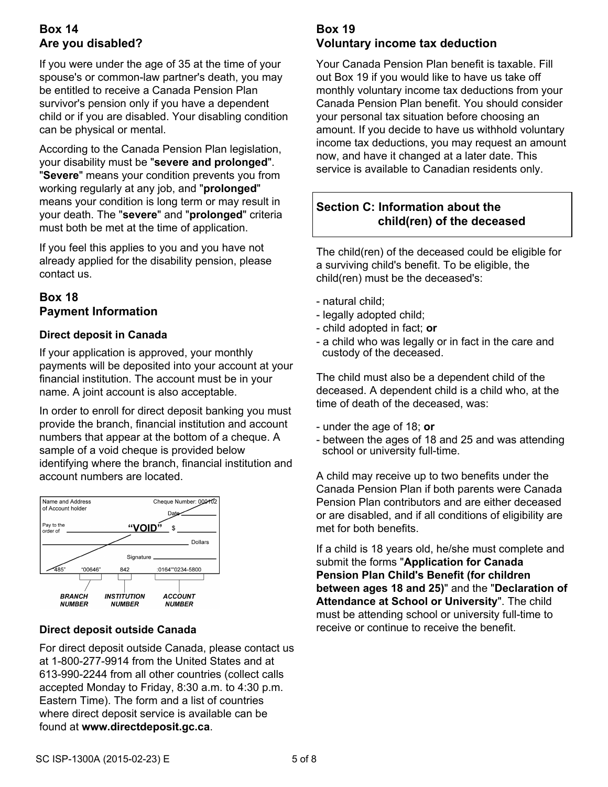## **Box 14 Are you disabled?**

If you were under the age of 35 at the time of your spouse's or common-law partner's death, you may be entitled to receive a Canada Pension Plan survivor's pension only if you have a dependent child or if you are disabled. Your disabling condition can be physical or mental.

According to the Canada Pension Plan legislation, your disability must be "**severe and prolonged**". "**Severe**" means your condition prevents you from working regularly at any job, and "**prolonged**" means your condition is long term or may result in your death. The "**severe**" and "**prolonged**" criteria must both be met at the time of application.

If you feel this applies to you and you have not already applied for the disability pension, please contact us.

## **Box 18 Payment Information**

#### **Direct deposit in Canada**

If your application is approved, your monthly payments will be deposited into your account at your financial institution. The account must be in your name. A joint account is also acceptable.

In order to enroll for direct deposit banking you must provide the branch, financial institution and account numbers that appear at the bottom of a cheque. A sample of a void cheque is provided below identifying where the branch, financial institution and account numbers are located.



#### **Direct deposit outside Canada**

For direct deposit outside Canada, please contact us at 1-800-277-9914 from the United States and at 613-990-2244 from all other countries (collect calls accepted Monday to Friday, 8:30 a.m. to 4:30 p.m. Eastern Time). The form and a list of countries where direct deposit service is available can be found at **www.directdeposit.gc.ca**.

## **Box 19 Voluntary income tax deduction**

Your Canada Pension Plan benefit is taxable. Fill out Box 19 if you would like to have us take off monthly voluntary income tax deductions from your Canada Pension Plan benefit. You should consider your personal tax situation before choosing an amount. If you decide to have us withhold voluntary income tax deductions, you may request an amount now, and have it changed at a later date. This service is available to Canadian residents only.

## **Section C: Information about the child(ren) of the deceased**

The child(ren) of the deceased could be eligible for a surviving child's benefit. To be eligible, the child(ren) must be the deceased's:

- natural child;
- legally adopted child;
- child adopted in fact; **or**
- a child who was legally or in fact in the care and custody of the deceased.

The child must also be a dependent child of the deceased. A dependent child is a child who, at the time of death of the deceased, was:

- under the age of 18; **or**
- between the ages of 18 and 25 and was attending school or university full-time.

A child may receive up to two benefits under the Canada Pension Plan if both parents were Canada Pension Plan contributors and are either deceased or are disabled, and if all conditions of eligibility are met for both benefits.

If a child is 18 years old, he/she must complete and submit the forms "**Application for Canada Pension Plan Child's Benefit (for children between ages 18 and 25)**" and the "**Declaration of Attendance at School or University**". The child must be attending school or university full-time to receive or continue to receive the benefit.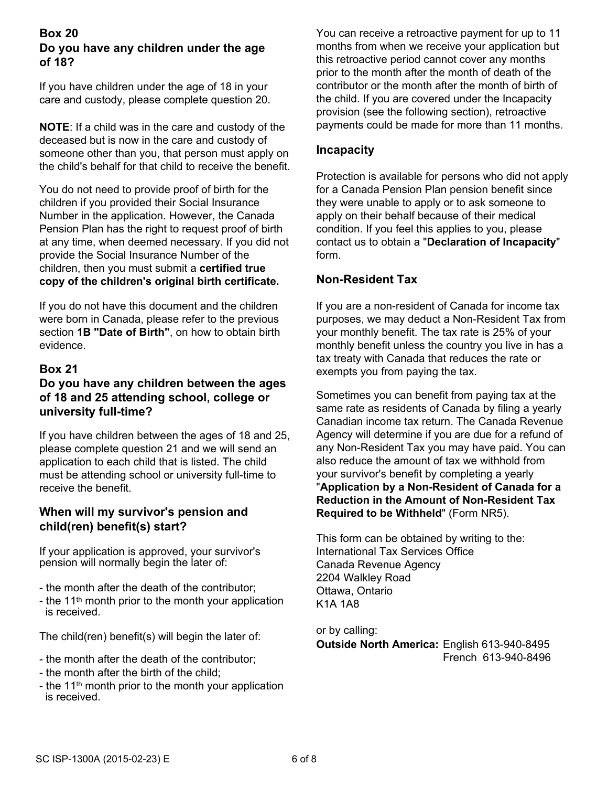#### **Box 20 Do you have any children under the age of 18?**

If you have children under the age of 18 in your care and custody, please complete question 20.

**NOTE**: If a child was in the care and custody of the deceased but is now in the care and custody of someone other than you, that person must apply on the child's behalf for that child to receive the benefit.

You do not need to provide proof of birth for the children if you provided their Social Insurance Number in the application. However, the Canada Pension Plan has the right to request proof of birth at any time, when deemed necessary. If you did not provide the Social Insurance Number of the children, then you must submit a **certified true copy of the children's original birth certificate.**

If you do not have this document and the children were born in Canada, please refer to the previous section **1B "Date of Birth"**, on how to obtain birth evidence.

#### **Box 21**

#### **Do you have any children between the ages of 18 and 25 attending school, college or university full-time?**

If you have children between the ages of 18 and 25, please complete question 21 and we will send an application to each child that is listed. The child must be attending school or university full-time to receive the benefit.

#### **When will my survivor's pension and child(ren) benefit(s) start?**

If your application is approved, your survivor's pension will normally begin the later of:

- the month after the death of the contributor;
- the 11<sup>th</sup> month prior to the month your application is received.

The child(ren) benefit(s) will begin the later of:

- the month after the death of the contributor;
- the month after the birth of the child;
- the 11<sup>th</sup> month prior to the month your application is received.

You can receive a retroactive payment for up to 11 months from when we receive your application but this retroactive period cannot cover any months prior to the month after the month of death of the contributor or the month after the month of birth of the child. If you are covered under the Incapacity provision (see the following section), retroactive payments could be made for more than 11 months.

#### **Incapacity**

Protection is available for persons who did not apply for a Canada Pension Plan pension benefit since they were unable to apply or to ask someone to apply on their behalf because of their medical condition. If you feel this applies to you, please contact us to obtain a "**Declaration of Incapacity**" form.

#### **Non-Resident Tax**

If you are a non-resident of Canada for income tax purposes, we may deduct a Non-Resident Tax from your monthly benefit. The tax rate is 25% of your monthly benefit unless the country you live in has a tax treaty with Canada that reduces the rate or exempts you from paying the tax.

Sometimes you can benefit from paying tax at the same rate as residents of Canada by filing a yearly Canadian income tax return. The Canada Revenue Agency will determine if you are due for a refund of any Non-Resident Tax you may have paid. You can also reduce the amount of tax we withhold from your survivor's benefit by completing a yearly "**Application by a Non-Resident of Canada for a Reduction in the Amount of Non-Resident Tax Required to be Withheld**" (Form NR5).

This form can be obtained by writing to the: International Tax Services Office Canada Revenue Agency 2204 Walkley Road Ottawa, Ontario K1A 1A8

or by calling: **Outside North America:** English 613-940-8495 French 613-940-8496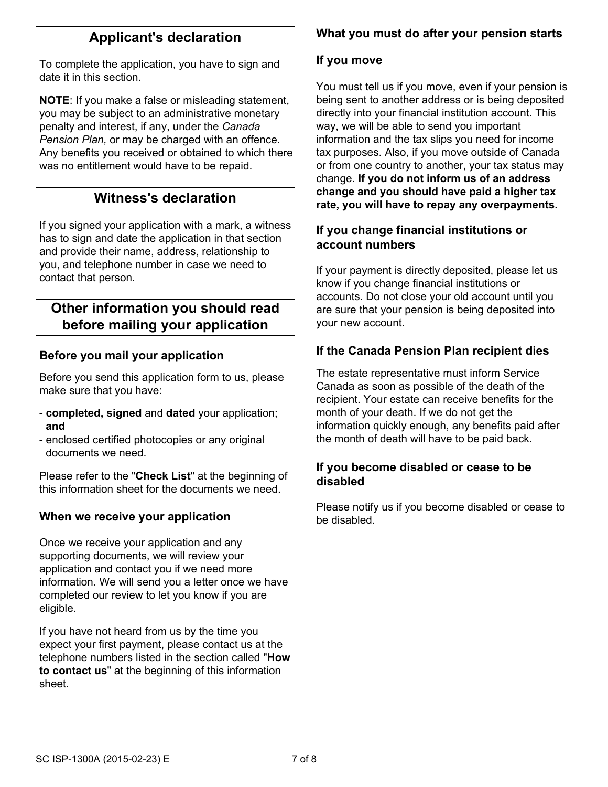## **Applicant's declaration**

To complete the application, you have to sign and date it in this section.

**NOTE**: If you make a false or misleading statement, you may be subject to an administrative monetary penalty and interest, if any, under the *Canada Pension Plan,* or may be charged with an offence. Any benefits you received or obtained to which there was no entitlement would have to be repaid.

## **Witness's declaration**

If you signed your application with a mark, a witness has to sign and date the application in that section and provide their name, address, relationship to you, and telephone number in case we need to contact that person.

## **Other information you should read before mailing your application**

### **Before you mail your application**

Before you send this application form to us, please make sure that you have:

- **completed, signed** and **dated** your application; **and**
- enclosed certified photocopies or any original documents we need.

Please refer to the "**Check List**" at the beginning of this information sheet for the documents we need.

#### **When we receive your application**

Once we receive your application and any supporting documents, we will review your application and contact you if we need more information. We will send you a letter once we have completed our review to let you know if you are eligible.

If you have not heard from us by the time you expect your first payment, please contact us at the telephone numbers listed in the section called "**How to contact us**" at the beginning of this information sheet.

#### **What you must do after your pension starts**

#### **If you move**

You must tell us if you move, even if your pension is being sent to another address or is being deposited directly into your financial institution account. This way, we will be able to send you important information and the tax slips you need for income tax purposes. Also, if you move outside of Canada or from one country to another, your tax status may change. **If you do not inform us of an address change and you should have paid a higher tax rate, you will have to repay any overpayments.**

#### **If you change financial institutions or account numbers**

If your payment is directly deposited, please let us know if you change financial institutions or accounts. Do not close your old account until you are sure that your pension is being deposited into your new account.

#### **If the Canada Pension Plan recipient dies**

The estate representative must inform Service Canada as soon as possible of the death of the recipient. Your estate can receive benefits for the month of your death. If we do not get the information quickly enough, any benefits paid after the month of death will have to be paid back.

#### **If you become disabled or cease to be disabled**

Please notify us if you become disabled or cease to be disabled.